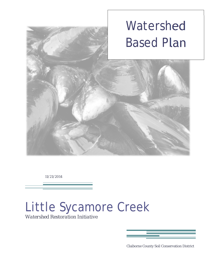

11/21/2014

# Little Sycamore Creek

*Watershed Restoration Initiative*



Claiborne County Soil Conservation District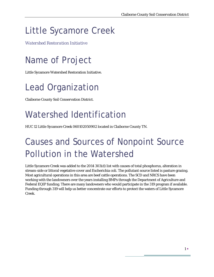# Little Sycamore Creek

*Watershed Restoration Initiative* 

# Name of Project

Little Sycamore Watershed Restoration Initiative.

## Lead Organization

Claiborne County Soil Conservation District.

# Watershed Identification

HUC 12 Little Sycamore Creek 060102050902 located in Claiborne County TN.

## Causes and Sources of Nonpoint Source Pollution in the Watershed

Little Sycamore Creek was added to the 2014 303(d) list with causes of total phosphorus, alteration in stream-side or littoral vegetative cover and Escherichia coli. The pollutant source listed is pasture grazing. Most agricultural operations in this area are beef cattle operations. The SCD and NRCS have been working with the landowners over the years installing BMPs through the Department of Agriculture and Federal EQIP funding. There are many landowners who would participate in the 319 program if available. Funding through 319 will help us better concentrate our efforts to protect the waters of Little Sycamore Creek.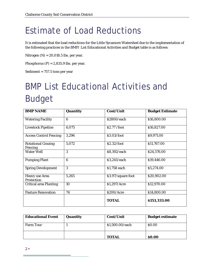#### Estimate of Load Reductions

It is estimated that the load reductions for the Little Sycamore Watershed due to the implementation of the following practices in the BMP/ List Educational Activities and Budget table is as follows:

Nitrogen (N) = 20,018.5 lbs. per year.

Phosphorus  $(P) = 2,835.9$  lbs. per year.

Sediment = 757.5 tons per year

# BMP List Educational Activities and Budget

| <b>BMP NAME</b>                            | Quantity         | Cost/Unit          | <b>Budget Estimate</b> |  |  |  |  |
|--------------------------------------------|------------------|--------------------|------------------------|--|--|--|--|
| <b>Watering Facility</b>                   | 6                | \$2800/each        | \$16,800.00            |  |  |  |  |
| <b>Livestock Pipeline</b>                  | 6,075            | \$2.77 /foot       | \$16,827.00            |  |  |  |  |
| <b>Access Control Fencing</b>              | 3,296            | \$3.03/foot        | \$9,971.00             |  |  |  |  |
| <b>Rotational Grazing</b><br>Fencing       | 5,072            | \$2.32/foot        | \$11,767.00            |  |  |  |  |
| <b>Water Well</b>                          | 3                | \$8,192/each       | \$24,576.00            |  |  |  |  |
| <b>Pumping Plant</b>                       | $\boldsymbol{6}$ | \$3,241/each       | \$19,446.00            |  |  |  |  |
| <b>Spring Development</b>                  | 3                | \$1,758 each       | \$5,274.00             |  |  |  |  |
| <b>Heavy</b> use Area<br><b>Protection</b> | 5,265            | \$3.97/square foot | \$20,902.00            |  |  |  |  |
| <b>Critical area Planting</b>              | 10               | \$1,297/Acre       | \$12,970.00            |  |  |  |  |
| <b>Pasture Renovation</b>                  | 74               | \$200/Acre         | \$14,800.00            |  |  |  |  |
|                                            |                  | <b>TOTAL</b>       | \$153,333.00           |  |  |  |  |

| <b>Educational Event</b> | Quantity | Cost/Unit       | <b>Budget estimate</b> |
|--------------------------|----------|-----------------|------------------------|
| <b>Farm Tour</b>         |          | \$1,500.00/each | \$0.00                 |
|                          |          | <b>TOTAL</b>    | \$0.00                 |

2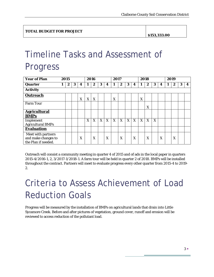**\$153,333.00** 

# Timeline Tasks and Assessment of Progress

| <b>Year of Plan</b>                                              | 2015 |   |   |   | 2016 |                  |   | 2017 |   |                  |   | 2018 |   |                  |   | 2019 |   |                  |   |                  |
|------------------------------------------------------------------|------|---|---|---|------|------------------|---|------|---|------------------|---|------|---|------------------|---|------|---|------------------|---|------------------|
| Quarter                                                          |      | 2 | 3 | 4 |      | $\boldsymbol{2}$ | 3 | 4    | 1 | $\boldsymbol{2}$ | 3 | 4    | 1 | $\boldsymbol{2}$ | 3 | 4    | 1 | $\boldsymbol{2}$ | 3 | $\boldsymbol{4}$ |
| <b>Activity</b>                                                  |      |   |   |   |      |                  |   |      |   |                  |   |      |   |                  |   |      |   |                  |   |                  |
| Outreach                                                         |      |   |   | X | X    | X                |   |      | X |                  |   |      | X |                  |   |      |   |                  |   |                  |
| <b>Farm Tour</b>                                                 |      |   |   |   |      |                  |   |      |   |                  |   |      |   | X                |   |      |   |                  |   |                  |
| <b>Agricultural</b><br><b>BMPs</b>                               |      |   |   |   |      |                  |   |      |   |                  |   |      |   |                  |   |      |   |                  |   |                  |
| Implement<br><b>Agricultural BMPs</b>                            |      |   |   |   | X    | X                | X | X    | X | X                | X | X    | X | X                | X |      |   |                  |   |                  |
| <b>Evaluation</b>                                                |      |   |   |   |      |                  |   |      |   |                  |   |      |   |                  |   |      |   |                  |   |                  |
| Meet with partners<br>and make changes to<br>the Plan if needed. |      |   |   | X |      | X                |   | X    |   | X                |   | X    |   | X                |   | X    |   | X                |   |                  |

Outreach will consist a community meeting in quarter 4 of 2015 and of ads in the local paper in quarters 2015-4/2016-1, 2, 3/2017-1/2018-1. A farm tour will be held in quarter 2 of 2018. BMPs will be installed throughout the contract. Partners will meet to evaluate progress every other quarter from 2015-4 to 2019- 2.

# Criteria to Assess Achievement of Load Reduction Goals

Progress will be measured by the installation of BMPs on agricultural lands that drain into Little Sycamore Creek. Before and after pictures of vegetation, ground cover, runoff and erosion will be reviewed to access reduction of the pollutant load.